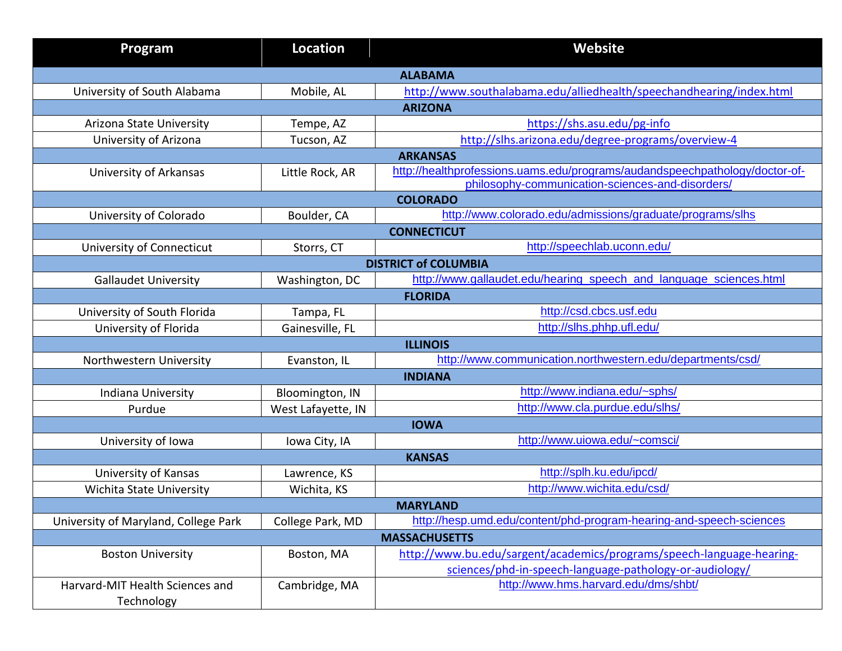| Program                              | <b>Location</b>    | <b>Website</b>                                                                                    |  |  |
|--------------------------------------|--------------------|---------------------------------------------------------------------------------------------------|--|--|
| <b>ALABAMA</b>                       |                    |                                                                                                   |  |  |
| University of South Alabama          | Mobile, AL         | http://www.southalabama.edu/alliedhealth/speechandhearing/index.html                              |  |  |
|                                      |                    | <b>ARIZONA</b>                                                                                    |  |  |
| Arizona State University             | Tempe, AZ          | https://shs.asu.edu/pg-info                                                                       |  |  |
| University of Arizona                | Tucson, AZ         | http://slhs.arizona.edu/degree-programs/overview-4                                                |  |  |
|                                      |                    | <b>ARKANSAS</b>                                                                                   |  |  |
| University of Arkansas               | Little Rock, AR    | http://healthprofessions.uams.edu/programs/audandspeechpathology/doctor-of-                       |  |  |
|                                      |                    | philosophy-communication-sciences-and-disorders/                                                  |  |  |
|                                      |                    | <b>COLORADO</b><br>http://www.colorado.edu/admissions/graduate/programs/slhs                      |  |  |
| University of Colorado               | Boulder, CA        |                                                                                                   |  |  |
|                                      |                    | <b>CONNECTICUT</b><br>http://speechlab.uconn.edu/                                                 |  |  |
| University of Connecticut            | Storrs, CT         |                                                                                                   |  |  |
|                                      |                    | <b>DISTRICT of COLUMBIA</b><br>http://www.gallaudet.edu/hearing_speech_and_language_sciences.html |  |  |
| <b>Gallaudet University</b>          | Washington, DC     | <b>FLORIDA</b>                                                                                    |  |  |
| University of South Florida          | Tampa, FL          | http://csd.cbcs.usf.edu                                                                           |  |  |
| University of Florida                | Gainesville, FL    | http://slhs.phhp.ufl.edu/                                                                         |  |  |
|                                      |                    | <b>ILLINOIS</b>                                                                                   |  |  |
| Northwestern University              | Evanston, IL       | http://www.communication.northwestern.edu/departments/csd/                                        |  |  |
|                                      |                    | <b>INDIANA</b>                                                                                    |  |  |
| Indiana University                   | Bloomington, IN    | http://www.indiana.edu/~sphs/                                                                     |  |  |
| Purdue                               | West Lafayette, IN | http://www.cla.purdue.edu/slhs/                                                                   |  |  |
| <b>IOWA</b>                          |                    |                                                                                                   |  |  |
| University of Iowa                   | Iowa City, IA      | http://www.uiowa.edu/~comsci/                                                                     |  |  |
| <b>KANSAS</b>                        |                    |                                                                                                   |  |  |
| University of Kansas                 | Lawrence, KS       | http://splh.ku.edu/ipcd/                                                                          |  |  |
| Wichita State University             | Wichita, KS        | http://www.wichita.edu/csd/                                                                       |  |  |
| <b>MARYLAND</b>                      |                    |                                                                                                   |  |  |
| University of Maryland, College Park | College Park, MD   | http://hesp.umd.edu/content/phd-program-hearing-and-speech-sciences                               |  |  |
| <b>MASSACHUSETTS</b>                 |                    |                                                                                                   |  |  |
| <b>Boston University</b>             | Boston, MA         | http://www.bu.edu/sargent/academics/programs/speech-language-hearing-                             |  |  |
|                                      |                    | sciences/phd-in-speech-language-pathology-or-audiology/                                           |  |  |
| Harvard-MIT Health Sciences and      | Cambridge, MA      | http://www.hms.harvard.edu/dms/shbt/                                                              |  |  |
| Technology                           |                    |                                                                                                   |  |  |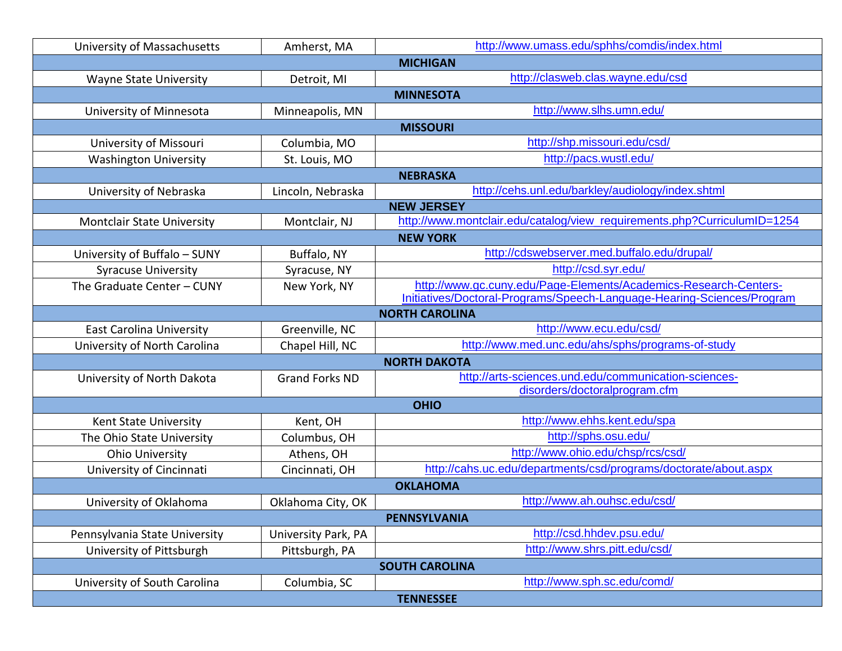| University of Massachusetts       | Amherst, MA           | http://www.umass.edu/sphhs/comdis/index.html                             |  |  |
|-----------------------------------|-----------------------|--------------------------------------------------------------------------|--|--|
|                                   |                       | <b>MICHIGAN</b>                                                          |  |  |
| <b>Wayne State University</b>     | Detroit, MI           | http://clasweb.clas.wayne.edu/csd                                        |  |  |
|                                   |                       | <b>MINNESOTA</b>                                                         |  |  |
| University of Minnesota           | Minneapolis, MN       | http://www.slhs.umn.edu/                                                 |  |  |
|                                   |                       | <b>MISSOURI</b>                                                          |  |  |
| University of Missouri            | Columbia, MO          | http://shp.missouri.edu/csd/                                             |  |  |
| <b>Washington University</b>      | St. Louis, MO         | http://pacs.wustl.edu/                                                   |  |  |
|                                   |                       | <b>NEBRASKA</b>                                                          |  |  |
| University of Nebraska            | Lincoln, Nebraska     | http://cehs.unl.edu/barkley/audiology/index.shtml                        |  |  |
|                                   |                       | <b>NEW JERSEY</b>                                                        |  |  |
| <b>Montclair State University</b> | Montclair, NJ         | http://www.montclair.edu/catalog/view_requirements.php?CurriculumID=1254 |  |  |
| <b>NEW YORK</b>                   |                       |                                                                          |  |  |
| University of Buffalo - SUNY      | Buffalo, NY           | http://cdswebserver.med.buffalo.edu/drupal/                              |  |  |
| <b>Syracuse University</b>        | Syracuse, NY          | http://csd.syr.edu/                                                      |  |  |
| The Graduate Center - CUNY        | New York, NY          | http://www.gc.cuny.edu/Page-Elements/Academics-Research-Centers-         |  |  |
|                                   |                       | Initiatives/Doctoral-Programs/Speech-Language-Hearing-Sciences/Program   |  |  |
|                                   |                       | <b>NORTH CAROLINA</b>                                                    |  |  |
| <b>East Carolina University</b>   | Greenville, NC        | http://www.ecu.edu/csd/                                                  |  |  |
| University of North Carolina      | Chapel Hill, NC       | http://www.med.unc.edu/ahs/sphs/programs-of-study                        |  |  |
|                                   |                       | <b>NORTH DAKOTA</b>                                                      |  |  |
| University of North Dakota        | <b>Grand Forks ND</b> | http://arts-sciences.und.edu/communication-sciences-                     |  |  |
|                                   |                       | disorders/doctoralprogram.cfm                                            |  |  |
|                                   |                       | <b>OHIO</b><br>http://www.ehhs.kent.edu/spa                              |  |  |
| Kent State University             | Kent, OH              | http://sphs.osu.edu/                                                     |  |  |
| The Ohio State University         | Columbus, OH          | http://www.ohio.edu/chsp/rcs/csd/                                        |  |  |
| <b>Ohio University</b>            | Athens, OH            |                                                                          |  |  |
| University of Cincinnati          | Cincinnati, OH        | http://cahs.uc.edu/departments/csd/programs/doctorate/about.aspx         |  |  |
|                                   |                       | <b>OKLAHOMA</b>                                                          |  |  |
| University of Oklahoma            | Oklahoma City, OK     | http://www.ah.ouhsc.edu/csd/                                             |  |  |
| PENNSYLVANIA                      |                       |                                                                          |  |  |
| Pennsylvania State University     | University Park, PA   | http://csd.hhdev.psu.edu/                                                |  |  |
| University of Pittsburgh          | Pittsburgh, PA        | http://www.shrs.pitt.edu/csd/                                            |  |  |
| <b>SOUTH CAROLINA</b>             |                       |                                                                          |  |  |
| University of South Carolina      | Columbia, SC          | http://www.sph.sc.edu/comd/                                              |  |  |
| <b>TENNESSEE</b>                  |                       |                                                                          |  |  |